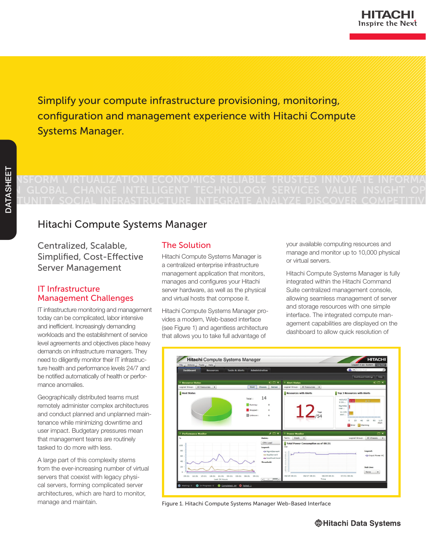Simplify your compute infrastructure provisioning, monitoring, configuration and management experience with Hitachi Compute Systems Manager.

# **THE ASSESSM STRANGER IN EXAMPLE TRANSFORM IN SERVICE INFORMATE INFORMA TI GLOBAL CHANGE INTELLIGENT TECHNOLOGY SERVICES VALUE INSIGHT OP** PORTUGAL INTEGRATION ECONOMICS RELIABLE TRUSTED INNOVATE INFORMATE INTO ANALYZE DISCOVER COMPETITIVE DRAMATE OP

# Hitachi Compute Systems Manager

Centralized, Scalable, Simplified, Cost-Effective Server Management

# IT Infrastructure Management Challenges

IT infrastructure monitoring and management today can be complicated, labor intensive and inefficient. Increasingly demanding workloads and the establishment of service level agreements and objectives place heavy demands on infrastructure managers. They need to diligently monitor their IT infrastructure health and performance levels 24/7 and be notified automatically of health or performance anomalies.

Geographically distributed teams must remotely administer complex architectures and conduct planned and unplanned maintenance while minimizing downtime and user impact. Budgetary pressures mean that management teams are routinely tasked to do more with less.

A large part of this complexity stems from the ever-increasing number of virtual servers that coexist with legacy physical servers, forming complicated server architectures, which are hard to monitor, manage and maintain.

# The Solution

Hitachi Compute Systems Manager is a centralized enterprise infrastructure management application that monitors, manages and configures your Hitachi server hardware, as well as the physical and virtual hosts that compose it.

Hitachi Compute Systems Manager provides a modern, Web-based interface (see Figure 1) and agentless architecture that allows you to take full advantage of

your available computing resources and manage and monitor up to 10,000 physical or virtual servers.

Hitachi Compute Systems Manager is fully integrated within the Hitachi Command Suite centralized management console, allowing seamless management of server and storage resources with one simple interface. The integrated compute management capabilities are displayed on the dashboard to allow quick resolution of



Figure 1. Hitachi Compute Systems Manager Web-Based Interface